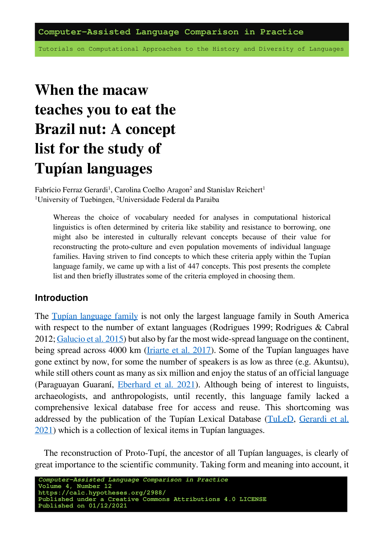Tutorials on Computational Approaches to the History and Diversity of Languages

# **When the macaw teaches you to eat the Brazil nut: A concept list for the study of Tupían languages**

Fabrício Ferraz Gerardi<sup>1</sup>, Carolina Coelho Aragon<sup>2</sup> and Stanislav Reichert<sup>1</sup> <sup>1</sup>University of Tuebingen, <sup>2</sup>Universidade Federal da Paraiba

Whereas the choice of vocabulary needed for analyses in computational historical linguistics is often determined by criteria like stability and resistance to borrowing, one might also be interested in culturally relevant concepts because of their value for reconstructing the proto-culture and even population movements of individual language families. Having striven to find concepts to which these criteria apply within the Tupían language family, we came up with a list of 447 concepts. This post presents the complete list and then briefly illustrates some of the criteria employed in choosing them.

#### **Introduction**

The [Tupían language family](https://glottolog.org/resource/languoid/id/tupi1275) is not only the largest language family in South America with respect to the number of extant languages (Rodrigues 1999; Rodrigues & Cabral 2012; [Galucio et al. 2015](https://tular.clld.org/sources/galucio2015genealogical)) but also by far the most wide-spread language on the continent, being spread across 4000 km([Iriarte et al. 2017\)](https://journals.sagepub.com/doi/abs/10.1177/0959683616678461?casa_token=XHyNZkx5p1kAAAAA:f2ff4aqzE7KrcpfV3hT0pQZaMeJqh9b9wIEmt3kscckiUdklyNLq0IJNRZyISJB1Rm4ZKana5cJZfQ). Some of the Tupían languages have gone extinct by now, for some the number of speakers is as low as three (e.g. Akuntsu), while still others count as many as six million and enjoy the status of an official language (Paraguayan Guaraní, [Eberhard et al. 2021\)](https://www.ethnologue.com/language/gug). Although being of interest to linguists, archaeologists, and anthropologists, until recently, this language family lacked a comprehensive lexical database free for access and reuse. This shortcoming was addressed by the publication of the Tupían Lexical Database [\(TuLeD](https://tular.clld.org), [Gerardi et al.](https://doi.org/10.1007/s10579-020-09521-5) [2021](https://doi.org/10.1007/s10579-020-09521-5)) which is a collection of lexical items in Tupían languages.

The reconstruction of Proto-Tupí, the ancestor of all Tupían languages, is clearly of great importance to the scientific community. Taking form and meaning into account, it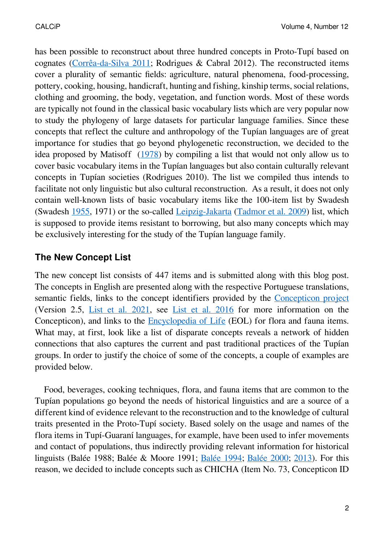has been possible to reconstruct about three hundred concepts in Proto-Tupí based on cognates([Corrêa-da-Silva 2011](https://repositorio.unb.br/handle/10482/36838); Rodrigues & Cabral 2012). The reconstructed items cover a plurality of semantic fields: agriculture, natural phenomena, food-processing, pottery, cooking, housing, handicraft, hunting and fishing, kinship terms, social relations, clothing and grooming, the body, vegetation, and function words. Most of these words are typically not found in the classical basic vocabulary lists which are very popular now to study the phylogeny of large datasets for particular language families. Since these concepts that reflect the culture and anthropology of the Tupían languages are of great importance for studies that go beyond phylogenetic reconstruction, we decided to the idea proposed by Matisoff([1978\)](https://digling.org/evobib?bibtex=Matisoff1978) by compiling a list that would not only allow us to cover basic vocabulary items in the Tupían languages but also contain culturally relevant concepts in Tupían societies (Rodrigues 2010). The list we compiled thus intends to facilitate not only linguistic but also cultural reconstruction. As a result, it does not only contain well-known lists of basic vocabulary items like the 100-item list by Swadesh (Swadesh [1955](https://www.journals.uchicago.edu/doi/abs/10.1086/464321), 1971) or the so-called [Leipzig-Jakarta](https://concepticon.clld.org/contributions/Tadmor-2009-100) ([Tadmor et al. 2009\)](https://digling.org/evobib/?bibtex=Tadmor2009) list, which is supposed to provide items resistant to borrowing, but also many concepts which may be exclusively interesting for the study of the Tupían language family.

# **The New Concept List**

The new concept list consists of 447 items and is submitted along with this blog post. The concepts in English are presented along with the respective Portuguese translations, semantic fields, links to the concept identifiers provided by the [Concepticon project](https://concepticon.clld.org) (Version 2.5, [List et al. 2021](https://digling.org/evobib/?bibtex=Concepticon-2.5.0), see [List et al. 2016](https://digling.org/evobib/?bibtex=List2016a) for more information on the Concepticon), and links to the [Encyclopedia of Life](https://eol.org) (EOL) for flora and fauna items. What may, at first, look like a list of disparate concepts reveals a network of hidden connections that also captures the current and past traditional practices of the Tupían groups. In order to justify the choice of some of the concepts, a couple of examples are provided below.

Food, beverages, cooking techniques, flora, and fauna items that are common to the Tupían populations go beyond the needs of historical linguistics and are a source of a different kind of evidence relevant to the reconstruction and to the knowledge of cultural traits presented in the Proto-Tupí society. Based solely on the usage and names of the flora items in Tupí-Guaraní languages, for example, have been used to infer movements and contact of populations, thus indirectly providing relevant information for historical linguists (Balée 1988; Balée & Moore 1991; [Balée 1994](https://tular.clld.org/sources/balee1994footprints); [Balée 2000](https://doi.org/10.1215/00141801-47-2-399); [2013\)](https://tular.clld.org/sources/balee2013cultural). For this reason, we decided to include concepts such as CHICHA (Item No. 73, Concepticon ID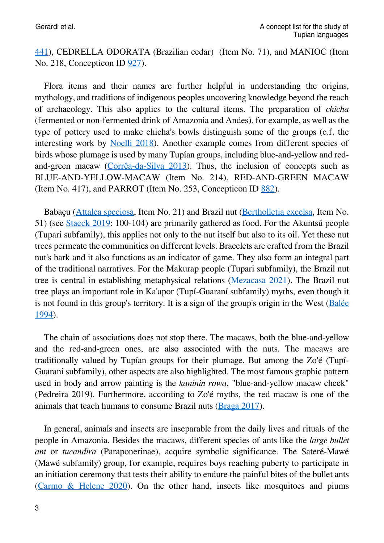[441](https://concepticon.clld.org/parameters/441)), CEDRELLA ODORATA (Brazilian cedar) (Item No. 71), and MANIOC (Item No. 218, Concepticon ID [927](https://concepticon.clld.org/parameters/927)).

Flora items and their names are further helpful in understanding the origins, mythology, and traditions of indigenous peoples uncovering knowledge beyond the reach of archaeology. This also applies to the cultural items. The preparation of *chicha* (fermented or non-fermented drink of Amazonia and Andes), for example, as well as the type of pottery used to make chicha's bowls distinguish some of the groups (c.f. the interesting work by [Noelli 2018](https://periodicos.unb.br/index.php/ling/article/view/20935)). Another example comes from different species of birds whose plumage is used by many Tupían groups, including blue-and-yellow and redand-green macaw([Corrêa-da-Silva 2013\)](https://periodicos.unb.br/index.php/ling/article/view/16271). Thus, the inclusion of concepts such as BLUE-AND-YELLOW-MACAW (Item No. 214), RED-AND-GREEN MACAW (Item No. 417), and PARROT (Item No. 253, Concepticon ID [882\)](https://concepticon.clld.org/parameters/882).

Babaçu([Attalea speciosa,](https://www.gbif.org/species/2732877) Item No. 21) and Brazil nut([Bertholletia excelsa](https://www.gbif.org/species/3083180), Item No. 51) (see [Staeck 2019](https://doi.org/10.1007/978-3-662-58328-9): 100-104) are primarily gathered as food. For the Akuntsú people (Tupari subfamily), this applies not only to the nut itself but also to its oil. Yet these nut trees permeate the communities on different levels. Bracelets are crafted from the Brazil nut's bark and it also functions as an indicator of game. They also form an integral part of the traditional narratives. For the Makurap people (Tupari subfamily), the Brazil nut tree is central in establishing metaphysical relations [\(Mezacasa 2021](https://repositorio.ufsc.br/handle/123456789/226949)). The Brazil nut tree plays an important role in Ka'apor (Tupí-Guaraní subfamily) myths, even though it is not found in this group's territory. It is a sign of the group's origin in the West [\(Balée](https://tular.clld.org/sources/balee1994footprints) [1994](https://tular.clld.org/sources/balee1994footprints)).

The chain of associations does not stop there. The macaws, both the blue-and-yellow and the red-and-green ones, are also associated with the nuts. The macaws are traditionally valued by Tupían groups for their plumage. But among the Zo'é (Tupí-Guarani subfamily), other aspects are also highlighted. The most famous graphic pattern used in body and arrow painting is the *kaninin rowa*, "blue-and-yellow macaw cheek" (Pedreira 2019). Furthermore, according to Zo'é myths, the red macaw is one of the animals that teach humans to consume Brazil nuts [\(Braga 2017](https://www.teses.usp.br/teses/disponiveis/8/8134/tde-06022017-110638/)).

In general, animals and insects are inseparable from the daily lives and rituals of the people in Amazonia. Besides the macaws, different species of ants like the *large bullet ant* or *tucandira* (Paraponerinae), acquire symbolic significance. The Sateré-Mawé (Mawé subfamily) group, for example, requires boys reaching puberty to participate in an initiation ceremony that tests their ability to endure the painful bites of the bullet ants ([Carmo & Helene 2020](https://www.revistas.usp.br/khronos/article/view/176984)). On the other hand, insects like mosquitoes and piums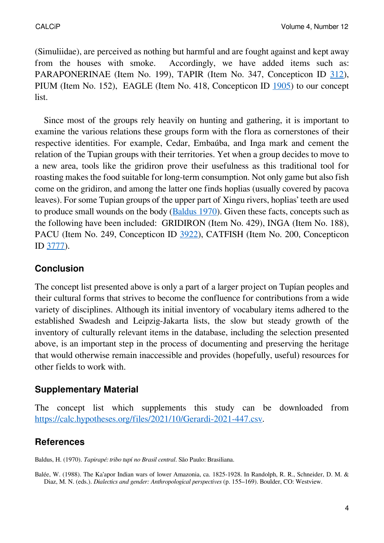(Simuliidae), are perceived as nothing but harmful and are fought against and kept away from the houses with smoke. Accordingly, we have added items such as: PARAPONERINAE (Item No. 199), TAPIR (Item No. 347, Concepticon ID [312\)](https://concepticon.clld.org/parameters/312), PIUM (Item No. 152), EAGLE (Item No. 418, Concepticon ID [1905\)](https://concepticon.clld.org/parameters/1905) to our concept list.

Since most of the groups rely heavily on hunting and gathering, it is important to examine the various relations these groups form with the flora as cornerstones of their respective identities. For example, Cedar, Embaúba, and Inga mark and cement the relation of the Tupian groups with their territories. Yet when a group decides to move to a new area, tools like the gridiron prove their usefulness as this traditional tool for roasting makes the food suitable for long-term consumption. Not only game but also fish come on the gridiron, and among the latter one finds hoplias (usually covered by pacova leaves). For some Tupian groups of the upper part of Xingu rivers, hoplias' teeth are used to produce small wounds on the body [\(Baldus 1970](https://bdor.sibi.ufrj.br/handle/doc/465)). Given these facts, concepts such as the following have been included: GRIDIRON (Item No. 429), INGA (Item No. 188), PACU (Item No. 249, Concepticon ID [3922](https://concepticon.clld.org/parameters/3922)), CATFISH (Item No. 200, Concepticon ID [3777](https://concepticon.clld.org/parameters/3777)).

### **Conclusion**

The concept list presented above is only a part of a larger project on Tupían peoples and their cultural forms that strives to become the confluence for contributions from a wide variety of disciplines. Although its initial inventory of vocabulary items adhered to the established Swadesh and Leipzig-Jakarta lists, the slow but steady growth of the inventory of culturally relevant items in the database, including the selection presented above, is an important step in the process of documenting and preserving the heritage that would otherwise remain inaccessible and provides (hopefully, useful) resources for other fields to work with.

#### **Supplementary Material**

The concept list which supplements this study can be downloaded from [https://calc.hypotheses.org/files/2021/10/Gerardi-2021-447.csv.](https://calc.hypotheses.org/files/2021/10/Gerardi-2021-447.csv)

# **References**

Baldus, H. (1970). *Tapirapé: tribo tupí no Brasil central*. São Paulo: Brasiliana.

Balée, W. (1988). The Ka'apor Indian wars of lower Amazonia, ca. 1825-1928. In Randolph, R. R., Schneider, D. M. & Diaz, M. N. (eds.). *Dialectics and gender: Anthropological perspectives* (p. 155–169). Boulder, CO: Westview.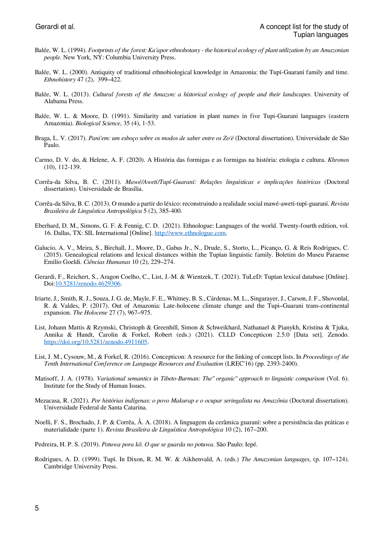- Balée, W. L. (1994). *Footprints of the forest: Ka'apor ethnobotany the historical ecology of plant utilization by an Amazonian people*. New York, NY: Columbia University Press.
- Balée, W. L. (2000). Antiquity of traditional ethnobiological knowledge in Amazonia: the Tupí-Guaraní family and time. *Ethnohistory* 47 (2), 399–422.
- Balée, W. L. (2013). *Cultural forests of the Amazon: a historical ecology of people and their landscapes*. University of Alabama Press.
- Balée, W. L. & Moore, D. (1991). Similarity and variation in plant names in five Tupi-Guarani languages (eastern Amazonia). *Biological Science*, 35 (4), 1-53.
- Braga, L. V. (2017). *Pani'em: um esboço sobre os modos de saber entre os Zo'é* (Doctoral dissertation). Universidade de São Paulo.
- Carmo, D. V. do, & Helene, A. F. (2020). A História das formigas e as formigas na história: etologia e cultura. *Khronos* (10), 112-139.
- Corrêa-da Silva, B. C. (2011). *Mawé/Awetí/Tupí-Guaraní: Relações linguísticas e implicações históricas* (Doctoral dissertation). Universidade de Brasília.
- Corrêa-da Silva, B. C. (2013). O mundo a partir do léxico: reconstruindo a realidade social mawé-awetí-tupí-guaraní. *Revista Brasileira de Linguística Antropológica* 5 (2), 385-400.
- Eberhard, D. M., Simons, G. F. & Fennig, C. D. (2021). Ethnologue: Languages of the world. Twenty-fourth edition, vol. 16. Dallas, TX: SIL International [Online]. <http://www.ethnologue.com>.
- Galucio, A. V., Meira, S., Birchall, J., Moore, D., Gabas Jr., N., Drude, S., Storto, L., Picanço, G. & Reis Rodrigues, C. (2015). Genealogical relations and lexical distances within the Tupían linguistic family. Boletim do Museu Paraense Emílio Goeldi. *Ciências Humanas* 10 (2), 229–274.
- Gerardi, F., Reichert, S., Aragon Coelho, C., List, J.-M. & Wientzek, T. (2021). TuLeD: Tupían lexical database [Online]. Doi:[10.5281/zenodo.4629306.](https://doi.org/10.5281/zenodo.4629306)
- Iriarte, J., Smith, R. J., Souza, J. G. de, Mayle, F. E., Whitney, B. S., Cárdenas, M. L., Singarayer, J., Carson, J. F., Shovonlal, R. & Valdes, P. (2017). Out of Amazonia: Late-holocene climate change and the Tupi–Guarani trans-continental expansion. *The Holocene* 27 (7), 967–975.
- List, Johann Mattis & Rzymski, Christoph & Greenhill, Simon & Schweikhard, Nathanael & Pianykh, Kristina & Tjuka, Annika & Hundt, Carolin & Forkel, Robert (eds.) (2021). CLLD Concepticon 2.5.0 [Data set]. Zenodo. <https://doi.org/10.5281/zenodo.4911605>.
- List, J. M., Cysouw, M., & Forkel, R. (2016). Concepticon: A resource for the linking of concept lists. In *Proceedings of the Tenth International Conference on Language Resources and Evaluation* (LREC'16) (pp. 2393-2400).
- Matisoff, J. A. (1978). *Variational semantics in Tibeto-Burman: The" organic" approach to linguistic comparison* (Vol. 6). Institute for the Study of Human Issues.
- Mezacasa, R. (2021). *Por histórias indígenas: o povo Makurap e o ocupar seringalista na Amazônia* (Doctoral dissertation). Universidade Federal de Santa Catarina.
- Noelli, F. S., Brochado, J. P. & Corrêa, Â. A. (2018). A linguagem da cerâmica guaraní: sobre a persistência das práticas e materialidade (parte 1). *Revista Brasileira de Linguística Antropológica* 10 (2), 167–200.
- Pedreira, H. P. S. (2019). *Potuwa pora kõ. O que se guarda no potuwa*. São Paulo: Iepé.
- Rodrigues, A. D. (1999). Tupí. In Dixon, R. M. W. & Aikhenvald, A. (eds.) *The Amazonian languages*, (p. 107–124). Cambridge University Press.